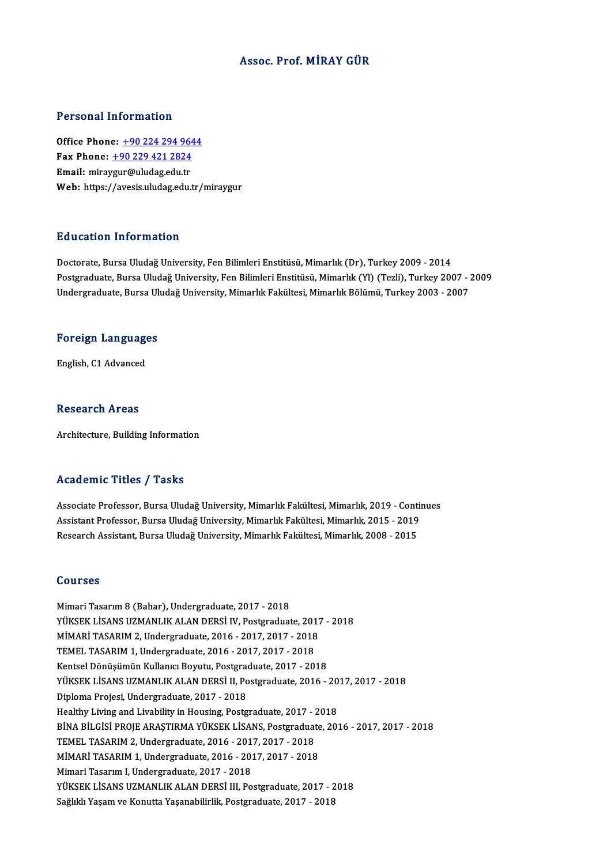## Assoc. Prof.MİRAY GÜR

### Personal Information

**Personal Information<br>Office Phone: +90 224 294 9644<br>Fax Phone: +90 229 421 2924** 1 0100111 11101 1111011<br>
0ffice Phone: <u>+90 224 294 964</u><br>
Fax Phone: <u>+90 229 421 2824</u><br>
Fmail: mirovaur@uludes.edu.tr Office Phone: <u>+90 224 294 96</u><br>Fax Phone: <u>+90 229 421 2824</u><br>Email: mira[ygur@uludag.edu.tr](tel:+90 229 421 2824) Fax Phone:  $+90\,229\,421\,2824$ <br>Email: miraygur@uludag.edu.tr<br>Web: https://avesis.uludag.edu.tr/miraygur

### Education Information

Doctorate, Bursa Uludağ University, Fen Bilimleri Enstitüsü, Mimarlık (Dr), Turkey 2009 - 2014 Pu u sutrom minominusion<br>Doctorate, Bursa Uludağ University, Fen Bilimleri Enstitüsü, Mimarlık (Dr), Turkey 2009 - 2014<br>Postgraduate, Bursa Uludağ University, Fen Bilimleri Enstitüsü, Mimarlık (Yl) (Tezli), Turkey 2007 - 2 Doctorate, Bursa Uludağ University, Fen Bilimleri Enstitüsü, Mimarlık (Dr), Turkey 2009 - 2014<br>Postgraduate, Bursa Uludağ University, Fen Bilimleri Enstitüsü, Mimarlık (Yl) (Tezli), Turkey 2007 - :<br>Undergraduate, Bursa Ulu

# <sub>ondergraduate, bursa of<br>Foreign Languages</sub> F<mark>oreign Languag</mark>e<br>English, C1 Advanced

English, C1 Advanced<br>Research Areas

Architecture, Building Information

### Academic Titles / Tasks

Associate Professor, Bursa Uludağ University, Mimarlık Fakültesi, Mimarlık, 2019 - Continues -<br>Associate Professor, Bursa Uludağ University, Mimarlık Fakültesi, Mimarlık, 2019 - Conti<br>Assistant Professor, Bursa Uludağ University, Mimarlık Fakültesi, Mimarlık, 2015 - 2019<br>Researsh Assistant, Bursa Uludağ University Associate Professor, Bursa Uludağ University, Mimarlık Fakültesi, Mimarlık, 2019 - Conti<br>Assistant Professor, Bursa Uludağ University, Mimarlık Fakültesi, Mimarlık, 2015 - 2019<br>Research Assistant, Bursa Uludağ University, Research Assistant, Bursa Uludağ University, Mimarlık Fakültesi, Mimarlık, 2008 - 2015<br>Courses

Mimari Tasarım 8 (Bahar), Undergraduate, 2017 - 2018 YOU1999<br>Mimari Tasarım 8 (Bahar), Undergraduate, 2017 - 2018<br>YÜKSEK LİSANS UZMANLIK ALAN DERSİ IV, Postgraduate, 2017 - 2018<br>MİMARİ TASARIM 2. Undergraduate, 2016 - 2017 -2017 - 2019 Mimari Tasarım 8 (Bahar), Undergraduate, 2017 - 2018<br>YÜKSEK LİSANS UZMANLIK ALAN DERSİ IV, Postgraduate, 2017<br>MİMARİ TASARIM 2, Undergraduate, 2016 - 2017, 2017 - 2018<br>TEMEL TASARIM 1, Undergraduate, 2016 - 2017, 2017 - 20 YÜKSEK LİSANS UZMANLIK ALAN DERSİ IV, Postgraduate, 201<br>MİMARİ TASARIM 2, Undergraduate, 2016 - 2017, 2017 - 2018<br>TEMEL TASARIM 1, Undergraduate, 2016 - 2017, 2017 - 2018<br>Kantsal Dönüsümün Kullanısı Boyutu, Bostgraduate, 2 MİMARİ TASARIM 2, Undergraduate, 2016 - 2017, 2017 - 2018<br>TEMEL TASARIM 1, Undergraduate, 2016 - 2017, 2017 - 2018<br>Kentsel Dönüşümün Kullanıcı Boyutu, Postgraduate, 2017 - 2018<br>VÜKSEK LİSANS UZMANLIK ALAN DERSİ II. Postgra TEMEL TASARIM 1, Undergraduate, 2016 - 2017, 2017 - 2018<br>Kentsel Dönüşümün Kullanıcı Boyutu, Postgraduate, 2017 - 2018<br>YÜKSEK LİSANS UZMANLIK ALAN DERSİ II, Postgraduate, 2016 - 2017, 2017 - 2018<br>Diploma Projesi, Undergrad Kentsel Dönüşümün Kullanıcı Boyutu, Postgrad<br>YÜKSEK LİSANS UZMANLIK ALAN DERSİ II, Po<br>Diploma Projesi, Undergraduate, 2017 - 2018<br>Hosithy Living and Livobility in Housing, Bostg YÜKSEK LİSANS UZMANLIK ALAN DERSİ II, Postgraduate, 2016 - 20<br>Diploma Projesi, Undergraduate, 2017 - 2018<br>Healthy Living and Livability in Housing, Postgraduate, 2017 - 2018<br>PİNA PİLCİSİ PROJE ARASTIPMA VÜKSEK LİSANS, Rost Diploma Projesi, Undergraduate, 2017 - 2018<br>Healthy Living and Livability in Housing, Postgraduate, 2017 - 2018<br>BİNA BİLGİSİ PROJE ARAŞTIRMA YÜKSEK LİSANS, Postgraduate, 2016 - 2017, 2017 - 2018<br>TEMEL TASARIM 2. Undergradu Healthy Living and Livability in Housing, Postgraduate, 2017 - 2<br>BİNA BİLGİSİ PROJE ARAŞTIRMA YÜKSEK LİSANS, Postgraduat<br>TEMEL TASARIM 2, Undergraduate, 2016 - 2017, 2017 - 2018<br>MİMARİ TASARIM 1, Undergraduate, 2016 - 2017 BİNA BİLGİSİ PROJE ARAŞTIRMA YÜKSEK LİSANS, Postgraduate<br>TEMEL TASARIM 2, Undergraduate, 2016 - 2017, 2017 - 2018<br>MİMARİ TASARIM 1, Undergraduate, 2016 - 2017, 2017 - 2018<br>Mimari Tasarım I, Undergraduate, 2017, 2018 TEMEL TASARIM 2, Undergraduate, 2016 - 2017, 2017 - 2018<br>MİMARİ TASARIM 1, Undergraduate, 2016 - 2017, 2017 - 2018<br>Mimari Tasarım I, Undergraduate, 2017 - 2018 MİMARİ TASARIM 1, Undergraduate, 2016 - 2017, 2017 - 2018<br>Mimari Tasarım I, Undergraduate, 2017 - 2018<br>YÜKSEK LİSANS UZMANLIK ALAN DERSİ III, Postgraduate, 2017 - 2018<br>Sağlılı Yasam ve Konutta Yasanebilirlik Bestgraduate, Mimari Tasarım I, Undergraduate, 2017 - 2018<br>YÜKSEK LİSANS UZMANLIK ALAN DERSİ III, Postgraduate, 2017 - 2<br>Sağlıklı Yaşam ve Konutta Yaşanabilirlik, Postgraduate, 2017 - 2018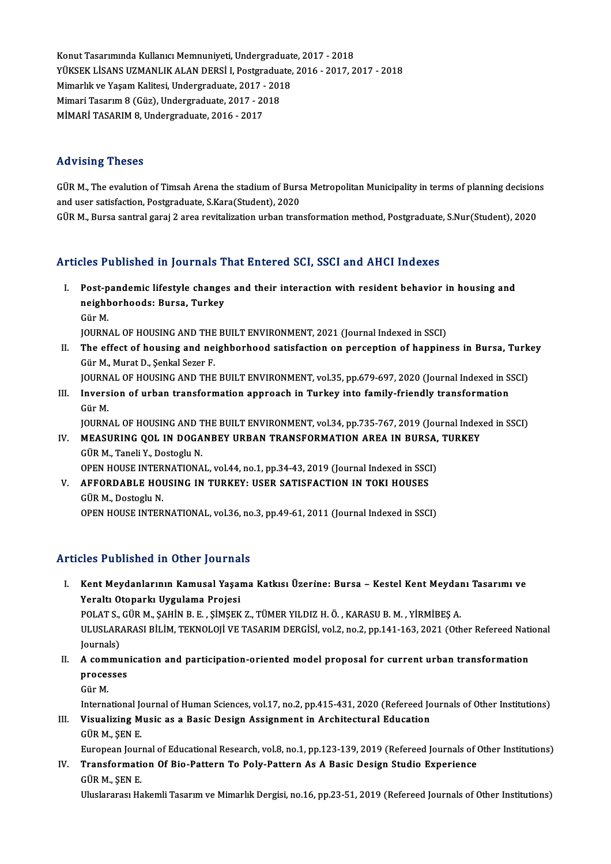Konut Tasarımında Kullanıcı Memnuniyeti, Undergraduate, 2017 - 2018<br>VÜKSEK LİSANS UZMANLUK ALAN DERSİ L Pestsraduate, 2016 - 2017-2 Konut Tasarımında Kullanıcı Memnuniyeti, Undergraduate, 2017 - 2018<br>YÜKSEK LİSANS UZMANLIK ALAN DERSİ I, Postgraduate, 2016 - 2017, 2017 - 2018<br>Mimarlık ve Yasam Kalitesi, Undergraduate, 2017, ...2018 Konut Tasarımında Kullanıcı Memnuniyeti, Undergraduat<br>YÜKSEK LİSANS UZMANLIK ALAN DERSİ I, Postgraduate,<br>Mimarlık ve Yaşam Kalitesi, Undergraduate, 2017 - 2018<br>Mimari Tasarım 8 (Cür), Undergraduata, 2017 - 2019 YÜKSEK LİSANS UZMANLIK ALAN DERSİ I, Postgraduate, 2016 - 2017, 2017 - 2018<br>Mimarlık ve Yaşam Kalitesi, Undergraduate, 2017 - 2018<br>Mimari Tasarım 8 (Güz), Undergraduate, 2017 - 2018<br>MİMARİ TASARIM 8, Undergraduate, 2016 - Mimari Tasarım 8 (Güz), Undergraduate, 2017 - 2018

# Advising Theses

Advising Theses<br>GÜRM., The evalution of Timsah Arena the stadium of Bursa Metropolitan Municipality in terms of planning decisions<br>and user satisfaction, Pestanadusta, S.Kara(Student), 2020. and violing a riceces<br>GÜR M., The evalution of Timsah Arena the stadium of Burs<br>and user satisfaction, Postgraduate, S.Kara(Student), 2020<br>CÜR M. Burse santral garei 2 anos revitalization urban tran and user satisfaction, Postgraduate, S.Kara(Student), 2020<br>GÜR M., Bursa santral garaj 2 area revitalization urban transformation method, Postgraduate, S.Nur(Student), 2020

# Articles Published in Journals That Entered SCI, SSCI and AHCI Indexes

- rticles Published in Journals That Entered SCI, SSCI and AHCI Indexes<br>I. Post-pandemic lifestyle changes and their interaction with resident behavior in housing and<br>neighberheeds: Burse, Turkey nes I dononed III journals<br>Post-pandemic lifestyle change<br>neighborhoods: Bursa, Turkey Post-p<br>neight<br>Gür M.<br>IOUPN neighborhoods: Bursa, Turkey<br>Gür M.<br>JOURNAL OF HOUSING AND THE BUILT ENVIRONMENT, 2021 (Journal Indexed in SSCI)<br>The effect of housing and neighborhood satisfection on nercention of hanning
- Gür M.<br>JOURNAL OF HOUSING AND THE BUILT ENVIRONMENT, 2021 (Journal Indexed in SSCI)<br>II. The effect of housing and neighborhood satisfaction on perception of happiness in Bursa, Turkey<br>Gür M., Murat D., Senkal Sezer F. **JOURNAL OF HOUSING AND THE<br>The effect of housing and nei<br>Gür M., Murat D., Şenkal Sezer F.<br>JOUPNAL OF HOUSING AND THE** The effect of housing and neighborhood satisfaction on perception of happiness in Bursa, Turk<br>Gür M., Murat D., Şenkal Sezer F.<br>JOURNAL OF HOUSING AND THE BUILT ENVIRONMENT, vol.35, pp.679-697, 2020 (Journal Indexed in SSC
- Gür M., Murat D., Şenkal Sezer F.<br>JOURNAL OF HOUSING AND THE BUILT ENVIRONMENT, vol.35, pp.679-697, 2020 (Journal Indexed in S.<br>III. Inversion of urban transformation approach in Turkey into family-friendly transformation JOURN.<br><mark>Invers</mark><br>Gür M.<br>IOUPN. Inversion of urban transformation approach in Turkey into family-friendly transformation<br>Gür M.<br>JOURNAL OF HOUSING AND THE BUILT ENVIRONMENT, vol.34, pp.735-767, 2019 (Journal Indexed in SSCI)<br>MEASURING OOL IN DOCANREY URR

Gür M.<br>IOURNAL OF HOUSING AND THE BUILT ENVIRONMENT, vol.34, pp.735-767, 2019 (Journal Index<br>IV. MEASURING QOL IN DOGANBEY URBAN TRANSFORMATION AREA IN BURSA, TURKEY JOURNAL OF HOUSING AND THE BUILT ENVIRONMENT, vol.34, pp.735-767, 2019 (Journal Indexed in SSCI)<br>MEASURING QOL IN DOGANBEY URBAN TRANSFORMATION AREA IN BURSA, TURKEY<br>GÜR M., Taneli Y., Dostoglu N. MEASURING QOL IN DOGANBEY URBAN TRANSFORMATION AREA IN BURSA,<br>GÜR M., Taneli Y., Dostoglu N.<br>OPEN HOUSE INTERNATIONAL, vol.44, no.1, pp.34-43, 2019 (Journal Indexed in SSCI)<br>AEEOPDARLE HOUSING IN TURKEY. USER SATISEACTION

OPEN HOUSE INTERNATIONAL, vol.44, no.1, pp.34-43, 2019 (Journal Indexed in SSCI)

V. AFFORDABLE HOUSING IN TURKEY: USER SATISFACTION IN TOKI HOUSES<br>GÜR M., Dostoglu N. OPEN HOUSE INTERNATIONAL, vol.36, no.3, pp.49-61, 2011 (Journal Indexed in SSCI)

# Articles Published in Other Journals

rticles Published in Other Journals<br>I. Kent Meydanlarının Kamusal Yaşama Katkısı Üzerine: Bursa – Kestel Kent Meydanı Tasarımı ve<br>Xaraltı Otanarkı Hugulama Prajesi Yeraltı Otoparkı Other Jearlia<br>Kent Meydanlarının Kamusal Yaşaı<br>Yeraltı Otoparkı Uygulama Projesi<br>POLATS CÜPM SAHİN P F SİMSEK Kent Meydanlarının Kamusal Yaşama Katkısı Üzerine: Bursa – Kestel Kent Meydaı<br>Yeraltı Otoparkı Uygulama Projesi<br>POLAT S., GÜR M., ŞAHİN B. E. , ŞİMŞEK Z., TÜMER YILDIZ H. Ö. , KARASU B. M. , YİRMİBEŞ A.<br>ULUSLARARASI RİLİM

Yeraltı Otoparkı Uygulama Projesi<br>POLAT S., GÜR M., ŞAHİN B. E. , ŞİMŞEK Z., TÜMER YILDIZ H. Ö. , KARASU B. M. , YİRMİBEŞ A.<br>ULUSLARARASI BİLİM, TEKNOLOJİ VE TASARIM DERGİSİ, vol.2, no.2, pp.141-163, 2021 (Other Refereed N POLAT S., GÜR M., SAHİN B. E., SİMSEK Z., TÜMER YILDIZ H. Ö., KARASU B. M., YİRMİBES A. ULUSLARARASI BİLİM, TEKNOLOJİ VE TASARIM DERGİSİ, vol.2, no.2, pp.141-163, 2021 (Other Refereed Nati Journals)<br>Journals)<br>II. A communication and participation-oriented model proposal for current urban transformation<br>RROGOG

# Journals)<br>A commun<br>processes<br><sup>Cür M</sup> A com<br>proces<br>Gür M.<br>Interna processes<br>Gür M.<br>International Journal of Human Sciences, vol.17, no.2, pp.415-431, 2020 (Refereed Journals of Other Institutions)<br>Viavalizing Music as a Basic Design Assignment in Architectural Education

Gür M.<br>International Journal of Human Sciences, vol.17, no.2, pp.415-431, 2020 (Refereed Jo<br>III. Visualizing Music as a Basic Design Assignment in Architectural Education<br>CÜP M. SEN E International Jo<br>Visualizing M<br>GÜR M., ŞEN E.<br>Euronean Jour Visualizing Music as a Basic Design Assignment in Architectural Education<br>GÜR M., ŞEN E.<br>European Journal of Educational Research, vol.8, no.1, pp.123-139, 2019 (Refereed Journals of Other Institutions)<br>Trangformation Of B

GÜR M., ŞEN E.<br>European Journal of Educational Research, vol.8, no.1, pp.123-139, 2019 (Refereed Journals of<br>IV. Transformation Of Bio-Pattern To Poly-Pattern As A Basic Design Studio Experience<br>GÜR M., SEN E. European Jour<br><mark>Transformati</mark><br>GÜR M., ŞEN E.<br>Uluslararası Ha

Uluslararası Hakemli Tasarım ve Mimarlık Dergisi, no.16, pp.23-51, 2019 (Refereed Journals of Other Institutions)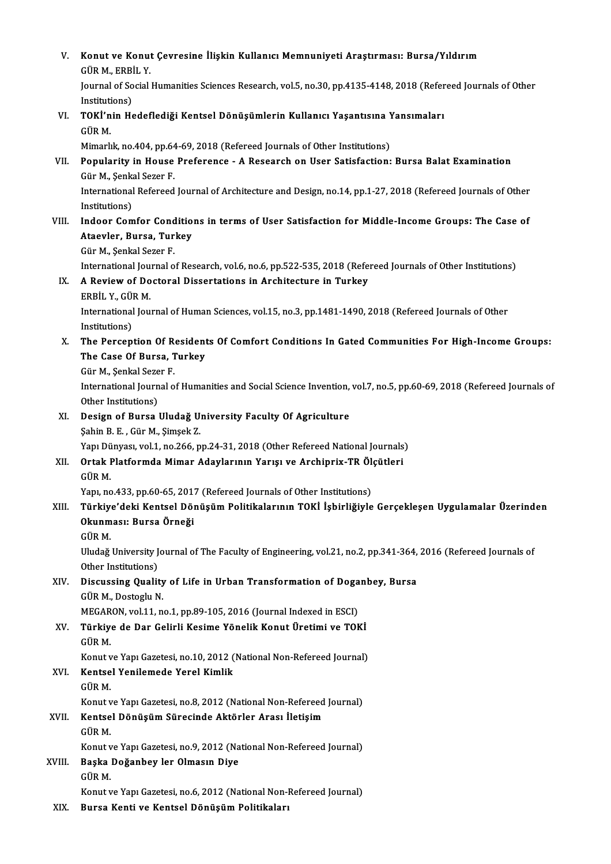| V.     | Konut ve Konut Çevresine İlişkin Kullanıcı Memnuniyeti Araştırması: Bursa/Yıldırım<br>GÜR M., ERBİL Y                         |
|--------|-------------------------------------------------------------------------------------------------------------------------------|
|        | Journal of Social Humanities Sciences Research, vol.5, no.30, pp.4135-4148, 2018 (Refereed Journals of Other<br>Institutions) |
| VI.    | TOKİ'nin Hedeflediği Kentsel Dönüşümlerin Kullanıcı Yaşantısına Yansımaları<br>GÜR M                                          |
|        | Mimarlık, no.404, pp.64-69, 2018 (Refereed Journals of Other Institutions)                                                    |
| VII.   | Popularity in House Preference - A Research on User Satisfaction: Bursa Balat Examination                                     |
|        | Gür M, Şenkal Sezer F.                                                                                                        |
|        | International Refereed Journal of Architecture and Design, no.14, pp.1-27, 2018 (Refereed Journals of Other                   |
|        | Institutions)                                                                                                                 |
| VIII.  | Indoor Comfor Conditions in terms of User Satisfaction for Middle-Income Groups: The Case of                                  |
|        | Ataevler, Bursa, Turkey                                                                                                       |
|        | Gür M., Şenkal Sezer F.                                                                                                       |
|        | International Journal of Research, vol.6, no.6, pp.522-535, 2018 (Refereed Journals of Other Institutions)                    |
| IX.    | A Review of Doctoral Dissertations in Architecture in Turkey                                                                  |
|        | ERBİL Y., GÜR M.                                                                                                              |
|        | International Journal of Human Sciences, vol.15, no.3, pp.1481-1490, 2018 (Refereed Journals of Other                         |
|        | Institutions)                                                                                                                 |
| X.     | The Perception Of Residents Of Comfort Conditions In Gated Communities For High-Income Groups:<br>The Case Of Bursa, Turkey   |
|        | Gür M., Şenkal Sezer F.                                                                                                       |
|        | International Journal of Humanities and Social Science Invention, vol.7, no.5, pp.60-69, 2018 (Refereed Journals of           |
|        | Other Institutions)                                                                                                           |
| XI.    | Design of Bursa Uludağ University Faculty Of Agriculture                                                                      |
|        | Şahin B.E., Gür M., Şimşek Z.                                                                                                 |
|        | Yapı Dünyası, vol.1, no.266, pp.24-31, 2018 (Other Refereed National Journals)                                                |
| XII.   | Ortak Platformda Mimar Adaylarının Yarışı ve Archiprix-TR Ölçütleri                                                           |
|        | <b>GÜRM</b>                                                                                                                   |
|        | Yapı, no.433, pp.60-65, 2017 (Refereed Journals of Other Institutions)                                                        |
| XIII.  | Türkiye'deki Kentsel Dönüşüm Politikalarının TOKİ İşbirliğiyle Gerçekleşen Uygulamalar Üzerinden                              |
|        | Okunması: Bursa Örneği                                                                                                        |
|        | GÜR M                                                                                                                         |
|        | Uludağ University Journal of The Faculty of Engineering, vol.21, no.2, pp.341-364, 2016 (Refereed Journals of                 |
|        | Other Institutions)                                                                                                           |
| XIV.   | Discussing Quality of Life in Urban Transformation of Doganbey, Bursa<br>GÜR M., Dostoglu N.                                  |
|        | MEGARON, vol.11, no.1, pp.89-105, 2016 (Journal Indexed in ESCI)                                                              |
| XV.    | Türkiye de Dar Gelirli Kesime Yönelik Konut Üretimi ve TOKİ                                                                   |
|        | GÜR M                                                                                                                         |
|        | Konut ve Yapı Gazetesi, no.10, 2012 (National Non-Refereed Journal)                                                           |
| XVI.   | Kentsel Yenilemede Yerel Kimlik                                                                                               |
|        | GÜR M                                                                                                                         |
|        | Konut ve Yapı Gazetesi, no.8, 2012 (National Non-Refereed Journal)                                                            |
| XVII.  | Kentsel Dönüşüm Sürecinde Aktörler Arası İletişim                                                                             |
|        | GÜR M                                                                                                                         |
|        | Konut ve Yapı Gazetesi, no.9, 2012 (National Non-Refereed Journal)                                                            |
| XVIII. | Başka Doğanbey ler Olmasın Diye                                                                                               |
|        | GÜR M.                                                                                                                        |
|        | Konut ve Yapı Gazetesi, no.6, 2012 (National Non-Refereed Journal)                                                            |
| XIX.   | Bursa Kenti ve Kentsel Dönüşüm Politikaları                                                                                   |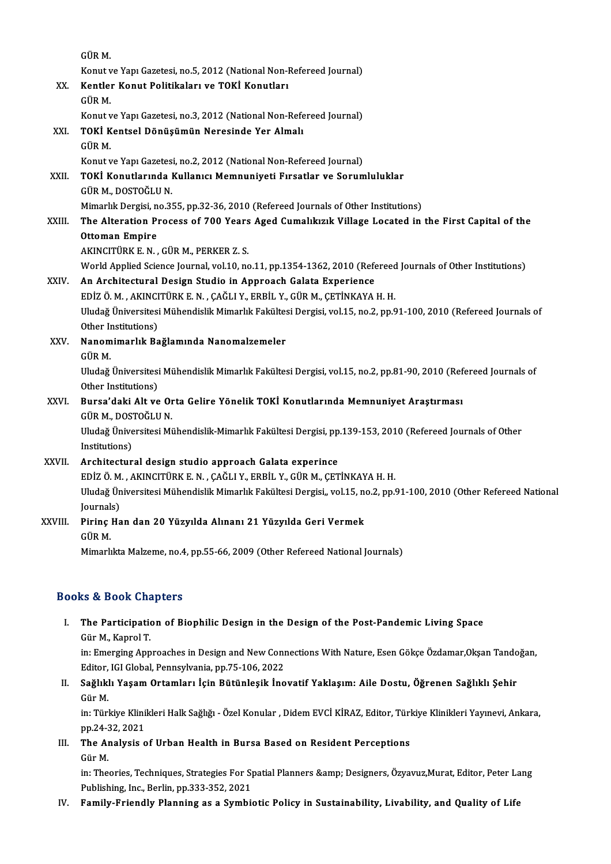|         | GÜR M.                                                                                                              |
|---------|---------------------------------------------------------------------------------------------------------------------|
|         | Konut ve Yapı Gazetesi, no.5, 2012 (National Non-Refereed Journal)                                                  |
| XX.     | Kentler Konut Politikaları ve TOKİ Konutları                                                                        |
|         | GÜR M                                                                                                               |
|         | Konut ve Yapı Gazetesi, no.3, 2012 (National Non-Refereed Journal)                                                  |
| XXI.    | TOKİ Kentsel Dönüşümün Neresinde Yer Almalı                                                                         |
|         | GÜR M                                                                                                               |
|         | Konut ve Yapı Gazetesi, no.2, 2012 (National Non-Refereed Journal)                                                  |
| XXII.   | TOKİ Konutlarında Kullanıcı Memnuniyeti Fırsatlar ve Sorumluluklar                                                  |
|         | GÜR M., DOSTOĞLU N.                                                                                                 |
|         | Mimarlık Dergisi, no.355, pp.32-36, 2010 (Refereed Journals of Other Institutions)                                  |
| XXIII.  | The Alteration Process of 700 Years Aged Cumalikizik Village Located in the First Capital of the                    |
|         | <b>Ottoman Empire</b>                                                                                               |
|         | AKINCITÜRK E. N., GÜR M., PERKER Z. S.                                                                              |
|         | World Applied Science Journal, vol.10, no.11, pp.1354-1362, 2010 (Refereed Journals of Other Institutions)          |
| XXIV.   | An Architectural Design Studio in Approach Galata Experience                                                        |
|         | EDİZ Ö. M., AKINCITÜRK E. N., ÇAĞLI Y., ERBİL Y., GÜR M., ÇETİNKAYA H. H.                                           |
|         | Uludağ Üniversitesi Mühendislik Mimarlık Fakültesi Dergisi, vol.15, no.2, pp.91-100, 2010 (Refereed Journals of     |
|         | Other Institutions)                                                                                                 |
| XXV.    | Nanomimarlık Bağlamında Nanomalzemeler                                                                              |
|         | GÜR M.                                                                                                              |
|         | Uludağ Üniversitesi Mühendislik Mimarlık Fakültesi Dergisi, vol.15, no.2, pp.81-90, 2010 (Refereed Journals of      |
|         | Other Institutions)                                                                                                 |
| XXVI.   | Bursa'daki Alt ve Orta Gelire Yönelik TOKİ Konutlarında Memnuniyet Araştırması                                      |
|         | GÜR M., DOSTOĞLU N.                                                                                                 |
|         | Uludağ Üniversitesi Mühendislik-Mimarlık Fakültesi Dergisi, pp.139-153, 2010 (Refereed Journals of Other            |
|         | Institutions)                                                                                                       |
| XXVII.  | Architectural design studio approach Galata experince                                                               |
|         | EDİZ Ö. M., AKINCITÜRK E. N., ÇAĞLI Y., ERBİL Y., GÜR M., ÇETİNKAYA H. H.                                           |
|         | Uludağ Üniversitesi Mühendislik Mimarlık Fakültesi Dergisi,, vol.15, no.2, pp.91-100, 2010 (Other Refereed National |
|         | Journals)                                                                                                           |
| XXVIII. | Pirinç Han dan 20 Yüzyılda Alınanı 21 Yüzyılda Geri Vermek<br>GÜR M.                                                |
|         | Mimarlıkta Malzeme, no.4, pp.55-66, 2009 (Other Refereed National Journals)                                         |
|         |                                                                                                                     |

# Books&Book Chapters

ooks & Book Chapters<br>I. The Participation of Biophilic Design in the Design of the Post-Pandemic Living Space<br>Cür M. Kaprel T to a Doort and<br>The Participatio<br>Gür M., Kaprol T.<br>in: Emerging Ann

Gür M., Kaprol T.<br>in: Emerging Approaches in Design and New Connections With Nature, Esen Gökçe Özdamar,Okşan Tandoğan, Gür M., Kaprol T.<br>in: Emerging Approaches in Design and New Conr<br>Editor, IGI Global, Pennsylvania, pp.75-106, 2022<br>Seğlikli Yasam Ortamları İsin Bütünlesik İno

# II. Sağlıklı Yaşam Ortamları İçin Bütünleşik İnovatif Yaklaşım: Aile Dostu, Öğrenen Sağlıklı Şehir<br>Gür M. Editor,<br>Sağlıkl<br>Gür M. Sağlıklı Yaşam Ortamları İçin Bütünleşik İnovatif Yaklaşım: Aile Dostu, Öğrenen Sağlıklı Şehir<br>Gür M.<br>in: Türkiye Klinikleri Halk Sağlığı - Özel Konular , Didem EVCİ KİRAZ, Editor, Türkiye Klinikleri Yayınevi, Ankara,<br>nn 2

Gür M.<br>in: Türkiye Klini<br>pp.24-32, 2021<br>The Analysis e in: Türkiye Klinikleri Halk Sağlığı - Özel Konular , Didem EVCİ KİRAZ, Editor, Türl<br>pp.24-32, 2021<br>III. The Analysis of Urban Health in Bursa Based on Resident Perceptions<br>Cür M

pp.24-32, 2021<br>III. The Analysis of Urban Health in Bursa Based on Resident Perceptions<br>Gür M.

The Analysis of Urban Health in Bursa Based on Resident Perceptions<br>Gür M.<br>in: Theories, Techniques, Strategies For Spatial Planners &amp; Designers, Özyavuz,Murat, Editor, Peter Lang<br>Publishing Ing, Berlin, np.222,252, 20 Gür M.<br>in: Theories, Techniques, Strategies For S<sub>l</sub><br>Publishing, Inc., Berlin, pp.333-352, 2021<br>Family, Eriandly, Planning as a Symbi: in: Theories, Techniques, Strategies For Spatial Planners & Designers, Özyavuz,Murat, Editor, Peter La<br>Publishing, Inc., Berlin, pp.333-352, 2021<br>IV. Family-Friendly Planning as a Symbiotic Policy in Sustainability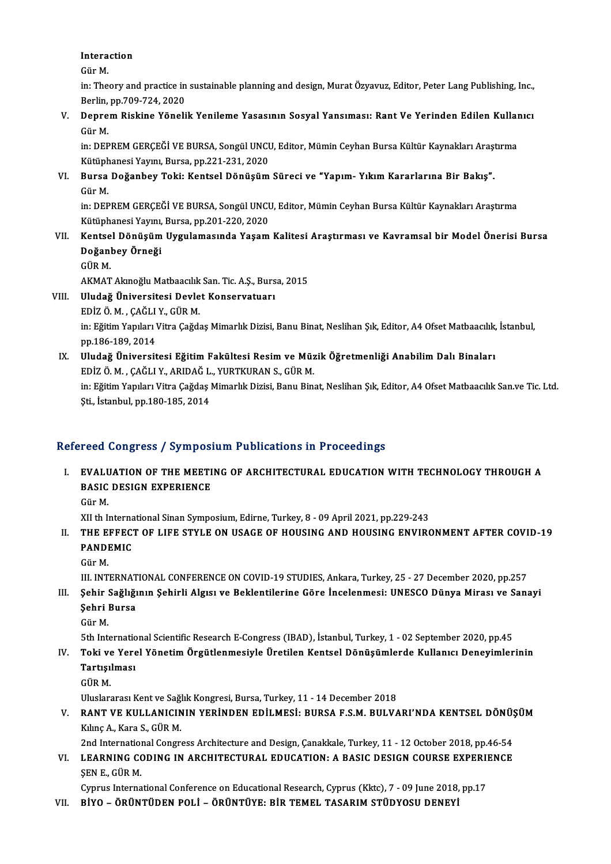# Interaction<br>Cür M Intera<br>Gür M.<br>in: The

Gür M.<br>in: Theory and practice in sustainable planning and design, Murat Özyavuz, Editor, Peter Lang Publishing, Inc., Gür M.<br>in: Theory and practice in<br>Berlin, pp.709-724, 2020<br>Denrem Biekine Vöneli

V. Deprem Riskine Yönelik Yenileme Yasasının Sosyal Yansıması: Rant Ve Yerinden Edilen Kullanıcı<br>Gür M. Berlin,<br><mark>Depre</mark><br>Gür M.<br>in: DEP Deprem Riskine Yönelik Yenileme Yasasının Sosyal Yansıması: Rant Ve Yerinden Edilen Kullar<br>Gür M.<br>in: DEPREM GERÇEĞİ VE BURSA, Songül UNCU, Editor, Mümin Ceyhan Bursa Kültür Kaynakları Araştırma<br>Kütünbanesi Yayını, Bursa,

Gür M.<br>in: DEPREM GERÇEĞİ VE BURSA, Songül UNCL<br>Kütüphanesi Yayını, Bursa, pp.221-231, 2020<br>Bursa Doğanbey Toki: Kontsal Dönüsüm in: DEPREM GERÇEĞİ VE BURSA, Songül UNCU, Editor, Mümin Ceyhan Bursa Kültür Kaynakları Araş<br>Kütüphanesi Yayını, Bursa, pp.221-231, 2020<br>VI. Bursa Doğanbey Toki: Kentsel Dönüşüm Süreci ve "Yapım- Yıkım Kararlarına Bir B

Kütüphanesi Yayını, Bursa, pp.221-231, 2020<br>VI. Bursa Doğanbey Toki: Kentsel Dönüşüm Süreci ve "Yapım- Yıkım Kararlarına Bir Bakış".<br>Gür M. Bursa Doğanbey Toki: Kentsel Dönüşüm Süreci ve "Yapım- Yıkım Kararlarına Bir Bakış".<br>Gür M.<br>in: DEPREM GERÇEĞİ VE BURSA, Songül UNCU, Editor, Mümin Ceyhan Bursa Kültür Kaynakları Araştırma<br>Kütünbanesi Yayını, Bursa, np.201

Gür M.<br>in: DEPREM GERÇEĞİ VE BURSA, Songül UNCL<br>Kütüphanesi Yayını, Bursa, pp.201-220, 2020<br>Kontsal Dönüsüm Hygulamasında Yaşam

- VI . Kentsel DönüşümUygulamasında YaşamKalitesi Araştırması ve Kavramsal bir Model Önerisi Bursa Kütüphanesi Yayını,<br>Kentsel Dönüşüm<br>Doğanbey Örneği Kentse<br>Doğanl<br>GÜR M. Doğanbey Örneği<br>GÜR M.<br>AKMAT Akınoğlu Matbaacılık San. Tic. A.Ş., Bursa, 2015<br>Uludeğ Üniversitesi Devlet Konservatuen
	-

# GÜR M.<br>AKMAT Akınoğlu Matbaacılık San. Tic. A.Ş., Burs<br>VIII. Uludağ Üniversitesi Devlet Konservatuarı<br>EDİZ Ö. M. , CAĞLI Y., GÜR M.

AKMAT Akınoğlu Matbaacılık<br>Uluda<mark>ğ Üniversitesi Devle</mark><br>EDİZ Ö. M. , ÇAĞLI Y., GÜR M.<br>in: Eğitim Yanıları Vitre Ceğde in: Eğitim Yapıları Vitra Çağdaş Mimarlık Dizisi, Banu Binat, Neslihan Şık, Editor, A4 Ofset Matbaacılık, İstanbul, pp.186-189,2014 In: Eğitim Yapıları Vitra Çağdaş Mimarlık Dizisi, Banu Binat, Neslihan Şık, Editor, A4 Ofset Matbaacılık,<br>pp.186-189, 2014<br>IX. Uludağ Üniversitesi Eğitim Fakültesi Resim ve Müzik Öğretmenliği Anabilim Dalı Binaları<br>FDİZÖ M

pp.186-189, 2014<br>Uludağ Üniversitesi Eğitim Fakültesi Resim ve Müz<br>EDİZ Ö. M. , ÇAĞLI Y., ARIDAĞ L., YURTKURAN S., GÜR M.<br>inı Eğitim Yapıları Vitra Cağdaş Mimarlık Dirisi, Banu Bin Uludağ Üniversitesi Eğitim Fakültesi Resim ve Müzik Öğretmenliği Anabilim Dalı Binaları<br>EDİZ Ö. M. , ÇAĞLI Y., ARIDAĞ L., YURTKURAN S., GÜR M.<br>in: Eğitim Yapıları Vitra Çağdaş Mimarlık Dizisi, Banu Binat, Neslihan Şık, Edi EDİZ Ö. M. , ÇAĞLI Y., ARIDAĞ L.<br>in: Eğitim Yapıları Vitra Çağdaş l<br>Şti., İstanbul, pp.180-185, 2014

# Sti., İstanbul, pp.180-185, 2014<br>Refereed Congress / Symposium Publications in Proceedings

- efereed Congress / Symposium Publications in Proceedings<br>I. EVALUATION OF THE MEETING OF ARCHITECTURAL EDUCATION WITH TECHNOLOGY THROUGH A FOOT COMPOOL<br>BASIC DESIGN EXPERIENCE<br>BASIC DESIGN EXPERIENCE **EVALU<br>BASIC<br>Gür M.**<br>VII <del>th</del> L BASIC DESIGN EXPERIENCE<br>Gür M.<br>XII th International Sinan Symposium, Edirne, Turkey, 8 - 09 April 2021, pp.229-243
	-

- Gür M.<br>XII th International Sinan Symposium, Edirne, Turkey, 8 09 April 2021, pp.229-243<br>II. THE EFFECT OF LIFE STYLE ON USAGE OF HOUSING AND HOUSING ENVIRONMENT AFTER COVID-19<br>RANDEMIC XII th Interna<br>THE EFFEC<br>PANDEMIC<br>Cür M THE E<br>PANDI<br>Gür M.<br>W. WT PANDEMIC<br>Gür M.<br>III. INTERNATIONAL CONFERENCE ON COVID-19 STUDIES, Ankara, Turkey, 25 - 27 December 2020, pp.257<br>Sebir Sağlığının Sebirli Algısı ve Beklentilerine Göre İnselenmesi, UNESCO Dünye Mirası ve San
	-

Gür M.<br>III. INTERNATIONAL CONFERENCE ON COVID-19 STUDIES, Ankara, Turkey, 25 - 27 December 2020, pp.257<br>III. Şehir Sağlığının Şehirli Algısı ve Beklentilerine Göre İncelenmesi: UNESCO Dünya Mirası ve Sanayi<br>Sehri Burca III. INTERNAT<br>Şehir Sağlığı<br>Şehri Bursa III. Şehir Sağlığının Şehirli Algısı ve Beklentilerine Göre İncelenmesi: UNESCO Dünya Mirası ve Sanayi<br>Şehri Bursa<br>Gür M. Şehri Bursa<br>Gür M.<br>5th International Scientific Research E-Congress (IBAD), İstanbul, Turkey, 1 - 02 September 2020, pp.45<br>Teki ve Yarel Yönetim Öngütlenmesiyle Ünetilen Kentsel Dönüsümlerde Kullenısı Denevimler

- Gür M.<br>5th International Scientific Research E-Congress (IBAD), İstanbul, Turkey, 1 02 September 2020, pp.45<br>IV. Toki ve Yerel Yönetim Örgütlenmesiyle Üretilen Kentsel Dönüşümlerde Kullanıcı Deneyimlerinin<br>Tertiselme 5th Internatio<br>Toki ve Yere<br>Tartışılması <mark>Toki ve</mark><br>Tartışı<br>GÜR M. Tartışılması<br>GÜR M.<br>Uluslararası Kent ve Sağlık Kongresi, Bursa, Turkey, 11 - 14 December 2018
	-

# GÜR M.<br>Uluslararası Kent ve Sağlık Kongresi, Bursa, Turkey, 11 - 14 December 2018<br>V. RANT VE KULLANICININ YERİNDEN EDİLMESİ: BURSA F.S.M. BULVARI'NDA KENTSEL DÖNÜŞÜM<br>Kilpa A. Kara S. CÜP M Uluslararası Kent ve Sağl<br>**RANT VE KULLANICIN**<br>Kılınç A., Kara S., GÜR M.<br><sup>2nd</sup> International Congr RANT VE KULLANICININ YERİNDEN EDİLMESİ: BURSA F.S.M. BULVARI'NDA KENTSEL DÖNÜŞ<br>Kılınç A., Kara S., GÜR M.<br>2nd International Congress Architecture and Design, Çanakkale, Turkey, 11 - 12 October 2018, pp.46-54<br>LEARNING CODIN

Kılınç A., Kara S., GÜR M.<br>2nd International Congress Architecture and Design, Çanakkale, Turkey, 11 - 12 October 2018, pp.46-54<br>VI. LEARNING CODING IN ARCHITECTURAL EDUCATION: A BASIC DESIGN COURSE EXPERIENCE<br>SEN E. C 2nd International Congress Architecture and Design, Çanakkale, Turkey, 11 - 12 October 2018, pp.46-54<br>LEARNING CODING IN ARCHITECTURAL EDUCATION: A BASIC DESIGN COURSE EXPERIENCE<br>ŞEN E., GÜR M.<br>Cyprus International Confere LEARNING CODING IN ARCHITECTURAL EDUCATION: A BASIC DESIGN COURSE EXPERII<br>ŞEN E., GÜR M.<br>Cyprus International Conference on Educational Research, Cyprus (Kktc), 7 - 09 June 2018, pp.17<br>Pivo – ÖDÜNTÜDEN POLİ – ÖDÜNTÜVE: PİD

VII. BİYO – ÖRÜNTÜDEN POLİ – ÖRÜNTÜYE: BİR TEMEL TASARIM STÜDYOSU DENEYİ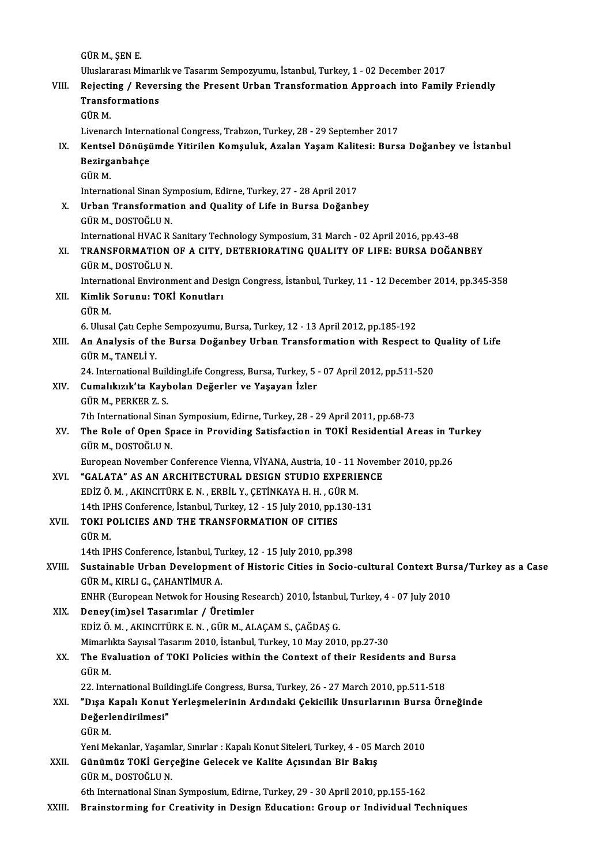- GÜRM.,ŞENE. GÜR M., ŞEN E.<br>Uluslararası Mimarlık ve Tasarım Sempozyumu, İstanbul, Turkey, 1 - 02 December 2017<br>Peiesting / Pevereing the Present Urben Transformation Annreach inte Femil GÜR M., ŞEN E.<br>Uluslararası Mimarlık ve Tasarım Sempozyumu, İstanbul, Turkey, 1 - 02 December 2017<br>VIII. Rejecting / Reversing the Present Urban Transformation Approach into Family Friendly<br> Uluslararası Mimari<br>Rejecting / Rever<br>Transformations<br>CÜP M Rejecting / Reversing the Present Urban Transformation Approach into Family Friendly<br>Transformations<br>GÜRM. Livenarch International Congress, Trabzon, Turkey, 28 - 29 September 2017 GÜR M.<br>Livenarch International Congress, Trabzon, Turkey, 28 - 29 September 2017<br>IX. Kentsel Dönüşümde Yitirilen Komşuluk, Azalan Yaşam Kalitesi: Bursa Doğanbey ve İstanbul<br>Regirganbabes Livenarch Interna<br>Kentsel Dönüşü<br>Bezirganbahçe<br>Cüp M Kentse<br>Bezirg:<br>GÜR M.<br>Interne: Bezirganbahçe<br>GÜR M.<br>International Sinan Symposium, Edirne, Turkey, 27 - 28 April 2017<br>Urban Transformation and Quality of Life in Burse Doğanbı GÜR M.<br>International Sinan Symposium, Edirne, Turkey, 27 - 28 April 2017<br>X. Urban Transformation and Quality of Life in Bursa Doğanbey<br>GÜR M.. DOSTOĞLU N. International Sinan Syl<br><mark>Urban Transformati</mark><br>GÜR M., DOSTOĞLU N.<br>International HVAC B. International HVAC R Sanitary Technology Symposium, 31 March - 02 April 2016, pp.43-48 GÜR M., DOSTOĞLU N.<br>International HVAC R Sanitary Technology Symposium, 31 March - 02 April 2016, pp.43-48<br>XI. TRANSFORMATION OF A CITY, DETERIORATING QUALITY OF LIFE: BURSA DOĞANBEY<br>CÜP M. DOSTOĞLU N International HVAC R :<br>TRANSFORMATION<br>GÜR M., DOSTOĞLU N.<br>International Environn TRANSFORMATION OF A CITY, DETERIORATING QUALITY OF LIFE: BURSA DOĞANBEY<br>GÜR M., DOSTOĞLU N.<br>International Environment and Design Congress, İstanbul, Turkey, 11 - 12 December 2014, pp.345-358<br>Kimlik Sorunu: TOKİ Konutları GÜR M., DOSTOĞLU N.<br>International Environment and Des<br>XII. Kimlik Sorunu: TOKİ Konutları<br>GÜR M. International Environment and Design Congress, İstanbul, Turkey, 11 - 12 December 2014, pp.345-358 6.UlusalÇatıCephe Sempozyumu,Bursa,Turkey,12 -13April2012,pp.185-192 GÜR M.<br>6. Ulusal Çatı Cephe Sempozyumu, Bursa, Turkey, 12 - 13 April 2012, pp.185-192<br>XIII. An Analysis of the Bursa Doğanbey Urban Transformation with Respect to Quality of Life<br>CÜR M. TANELİ Y 6. Ulusal Çatı Ceph<br>An Analysis of th<br>GÜR M., TANELİ Y.<br>24. International B An Analysis of the Bursa Doğanbey Urban Transformation with Respect to (<br>GÜR M., TANELİ Y.<br>24. International BuildingLife Congress, Bursa, Turkey, 5 - 07 April 2012, pp.511-520<br>Cumalikuvk'ta Kaybalan Doğanlar ve Yasayan İs GÜR M., TANELİ Y.<br>24. International BuildingLife Congress, Bursa, Turkey, 5<br>XIV. Cumalıkızık'ta Kaybolan Değerler ve Yaşayan İzler<br>CÜB M. BERKER 7-S 24. International Buil<br>Cumalıkızık'ta Kayl<br>GÜR M., PERKER Z. S.<br><sup>7th International Sing</sup> GÜR M., PERKER Z. S.<br>7th International Sinan Symposium, Edirne, Turkey, 28 - 29 April 2011, pp.68-73 GÜR M., PERKER Z. S.<br>7th International Sinan Symposium, Edirne, Turkey, 28 - 29 April 2011, pp.68-73<br>XV. The Role of Open Space in Providing Satisfaction in TOKİ Residential Areas in Turkey<br>CÜP M. POSTOČLU N 7th International Sinar<br>The Role of Open Sp<br>GÜR M., DOSTOĞLU N.<br>European November ( The Role of Open Space in Providing Satisfaction in TOKİ Residential Areas in T<br>GÜR M., DOSTOĞLU N.<br>European November Conference Vienna, VİYANA, Austria, 10 - 11 November 2010, pp.26<br>"CALATA" AS AN ARCHITECTURAL DESICN STU GÜR M., DOSTOĞLU N.<br>European November Conference Vienna, VİYANA, Austria, 10 - 11 Novem<br>XVI. "GALATA" AS AN ARCHITECTURAL DESIGN STUDIO EXPERIENCE<br>EDİZ Ö M. AKINCITÜRKE N. ERRIL V. CETİNKAYA H.H. CÜR M European November Conference Vienna, VİYANA, Austria, 10 - 11 I<br>**"GALATA" AS AN ARCHITECTURAL DESIGN STUDIO EXPERII**<br>EDİZ Ö. M. , AKINCITÜRK E. N. , ERBİL Y., ÇETİNKAYA H. H. , GÜR M.<br>14th IBUS Conference, İstanbul Turkey, "GALATA" AS AN ARCHITECTURAL DESIGN STUDIO EXPERIENC<br>EDİZ Ö. M. , AKINCITÜRK E. N. , ERBİL Y., ÇETİNKAYA H. H. , GÜR M.<br>14th IPHS Conference, İstanbul, Turkey, 12 - 15 July 2010, pp.130-131<br>TOKI POLICIES AND TUE TRANSEORMA EDİZ Ö. M., AKINCITÜRK E. N., ERBİL Y., ÇETİNKAYA H. H., GÜR M.<br>14th IPHS Conference, İstanbul, Turkey, 12 - 15 July 2010, pp.130-1<br>XVII. TOKI POLICIES AND THE TRANSFORMATION OF CITIES<br>GÜR M. 14th IPHS Conference, İstanbul, Turkey, 12 - 15 July 2010, pp.130-131 14th IPHSConference, İstanbul,Turkey,12 -15 July2010,pp.398 GÜR M.<br>14th IPHS Conference, İstanbul, Turkey, 12 - 15 July 2010, pp.398<br>XVIII. Sustainable Urban Development of Historic Cities in Socio-cultural Context Bursa/Turkey as a Case<br>CÜR M. KIRLLE, CAHANTIMIR A 14th IPHS Conference, İstanbul, Tu<br>Sustainable Urban Developme<br>GÜR M., KIRLI G., ÇAHANTİMUR A.<br>ENUR (European Natural: fan Hou Sustainable Urban Development of Historic Cities in Socio-cultural Context Bur<br>GÜR M., KIRLI G., ÇAHANTİMUR A.<br>ENHR (European Netwok for Housing Research) 2010, İstanbul, Turkey, 4 - 07 July 2010<br>Deney(im)sel Teserumlar (Ü GÜR M., KIRLI G., ÇAHANTİMUR A.<br>ENHR (European Netwok for Housing Research) 2010, İstanbul, Turkey, 4 - 07 July 2010<br>XIX. Deney(im)sel Tasarımlar / Üretimler EDİZÖ.M. ,AKINCITÜRKE.N. ,GÜRM.,ALAÇAMS.,ÇAĞDAŞG. Mimarlıkta Sayısal Tasarım 2010, İstanbul, Turkey, 10 May 2010, pp.27-30 EDİZ Ö. M. , AKINCITÜRK E. N. , GÜR M., ALAÇAM S., ÇAĞDAŞ G.<br>Mimarlıkta Sayısal Tasarım 2010, İstanbul, Turkey, 10 May 2010, pp.27-30<br>XX. The Evaluation of TOKI Policies within the Context of their Residents and Bursa<br> Mimarlı<br>**The Ev**<br>GÜR M. The Evaluation of TOKI Policies within the Context of their Residents and Burs<br>GÜR M.<br>22. International BuildingLife Congress, Bursa, Turkey, 26 - 27 March 2010, pp.511-518<br>"Dige Kapel: Koput Vorlesmelerinin Ardudeki Cekic GÜR M.<br>22. International BuildingLife Congress, Bursa, Turkey, 26 - 27 March 2010, pp.511-518<br>XXI. "Dışa Kapalı Konut Yerleşmelerinin Ardındaki Çekicilik Unsurlarının Bursa Örneğinde<br>Değerlendirilmesi" 22. International BuildingLife Congress, Bursa, Turkey, 26 - 27 March 2010, pp.511-518<br>"Dışa Kapalı Konut Yerleşmelerinin Ardındaki Çekicilik Unsurlarının Bursa Ör<br>Değerlendirilmesi"<br>GÜR M. "Dışa k<br>Değerl<br>GÜR M.<br><sup>Voni Mo</sup> Değerlendirilmesi"<br>GÜR M.<br>Yeni Mekanlar, Yaşamlar, Sınırlar : Kapalı Konut Siteleri, Turkey, 4 - 05 March 2010<br>Günümür TOKİ Gereeğine Gelesek ve Kalite Asısından Bir Belye XXII. Günümüz TOKİ Gerçeğine Gelecek ve Kalite Açısından Bir Bakış GÜR M. DOSTOĞLU N. Yeni Mekanlar, Yaşaml<br><mark>Günümüz TOKİ Gerç</mark><br>GÜR M., DOSTOĞLU N.<br><sup>6th Intornational Siner</sup> 6th InternationalSinanSymposium,Edirne,Turkey,29 -30April2010,pp.155-162
- XXIII. Brainstorming for Creativity in Design Education: Group or Individual Techniques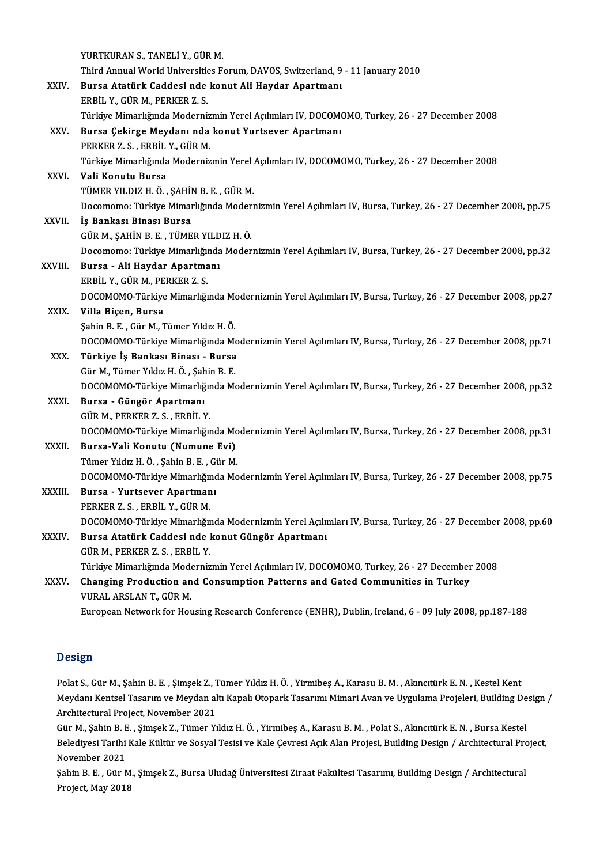|             | YURTKURAN S., TANELİ Y., GÜR M.                                                                                                           |
|-------------|-------------------------------------------------------------------------------------------------------------------------------------------|
|             | Third Annual World Universities Forum, DAVOS, Switzerland, 9 - 11 January 2010                                                            |
| XXIV.       | Bursa Atatürk Caddesi nde konut Ali Haydar Apartmanı                                                                                      |
|             | ERBIL Y., GÜR M., PERKER Z. S.                                                                                                            |
|             | Türkiye Mimarlığında Modernizmin Yerel Açılımları IV, DOCOMOMO, Turkey, 26 - 27 December 2008                                             |
| XXV.        | Bursa Çekirge Meydanı nda konut Yurtsever Apartmanı                                                                                       |
|             | PERKER Z. S., ERBİL Y., GÜR M.                                                                                                            |
|             | Türkiye Mimarlığında Modernizmin Yerel Açılımları IV, DOCOMOMO, Turkey, 26 - 27 December 2008                                             |
| <b>XXVI</b> | Vali Konutu Bursa                                                                                                                         |
|             | TÜMER YILDIZ H. Ö., ŞAHİN B. E., GÜR M.                                                                                                   |
|             | Docomomo: Türkiye Mimarlığında Modernizmin Yerel Açılımları IV, Bursa, Turkey, 26 - 27 December 2008, pp.75                               |
| XXVII.      | İş Bankası Binası Bursa                                                                                                                   |
|             | GÜR M., ŞAHİN B. E., TÜMER YILDIZ H. Ö.                                                                                                   |
|             | Docomomo: Türkiye Mimarlığında Modernizmin Yerel Açılımları IV, Bursa, Turkey, 26 - 27 December 2008, pp.32                               |
| XXVIII.     | Bursa - Ali Haydar Apartmanı                                                                                                              |
|             | ERBIL Y., GÜR M., PERKER Z. S.                                                                                                            |
|             | DOCOMOMO-Türkiye Mimarlığında Modernizmin Yerel Açılımları IV, Bursa, Turkey, 26 - 27 December 2008, pp.27                                |
| <b>XXIX</b> | Villa Biçen, Bursa                                                                                                                        |
|             | Şahin B. E., Gür M., Tümer Yıldız H. Ö.                                                                                                   |
|             | DOCOMOMO-Türkiye Mimarlığında Modernizmin Yerel Açılımları IV, Bursa, Turkey, 26 - 27 December 2008, pp.71                                |
| XXX.        | Türkiye İş Bankası Binası - Bursa                                                                                                         |
|             | Gür M., Tümer Yıldız H. Ö., Şahin B. E.                                                                                                   |
|             | DOCOMOMO-Türkiye Mimarlığında Modernizmin Yerel Açılımları IV, Bursa, Turkey, 26 - 27 December 2008, pp.32                                |
| XXXI.       | Bursa - Güngör Apartmanı                                                                                                                  |
|             | GÜR M., PERKER Z. S., ERBİL Y.                                                                                                            |
|             | DOCOMOMO-Türkiye Mimarlığında Modernizmin Yerel Açılımları IV, Bursa, Turkey, 26 - 27 December 2008, pp.31                                |
| XXXII.      | Bursa-Vali Konutu (Numune Evi)                                                                                                            |
|             | Tümer Yıldız H. Ö., Şahin B. E., Gür M.                                                                                                   |
| XXXIII.     | DOCOMOMO-Türkiye Mimarlığında Modernizmin Yerel Açılımları IV, Bursa, Turkey, 26 - 27 December 2008, pp.75<br>Bursa - Yurtsever Apartmanı |
|             | PERKER Z. S., ERBİL Y., GÜR M.                                                                                                            |
|             | DOCOMOMO-Türkiye Mimarlığında Modernizmin Yerel Açılımları IV, Bursa, Turkey, 26 - 27 December 2008, pp.60                                |
| XXXIV.      | Bursa Atatürk Caddesi nde konut Güngör Apartmanı                                                                                          |
|             | GÜR M., PERKER Z. S., ERBİL Y.                                                                                                            |
|             | Türkiye Mimarlığında Modernizmin Yerel Açılımları IV, DOCOMOMO, Turkey, 26 - 27 December 2008                                             |
| XXXV.       | Changing Production and Consumption Patterns and Gated Communities in Turkey                                                              |
|             | VURAL ARSLAN T., GÜR M.                                                                                                                   |
|             | European Network for Housing Research Conference (ENHR), Dublin, Ireland, 6 - 09 July 2008, pp.187-188                                    |
|             |                                                                                                                                           |

## Design

**Design<br>Polat S., Gür M., Şahin B. E. , Şimşek Z., Tümer Yıldız H. Ö. , Yirmibeş A., Karasu B. M. , Akıncıtürk E. N. , Kestel Kent<br>Maydanı Kartsel Tesarım ve Maydan altı Kanalı Otanark Tesarımı Mimari Ayan ve Uygulama Proj** D Oosgir<br>Polat S., Gür M., Şahin B. E. , Şimşek Z., Tümer Yıldız H. Ö. , Yirmibeş A., Karasu B. M. , Akıncıtürk E. N. , Kestel Kent<br>Meydanı Kentsel Tasarım ve Meydan altı Kapalı Otopark Tasarımı Mimari Avan ve Uygulama Pro Polat S., Gür M., Şahin B. E. , Şimşek Z., 1<br>Meydanı Kentsel Tasarım ve Meydan al<br>Architectural Project, November 2021<br>Gür M. Sabin B. E., Simsek Z., Tümer V. Meydanı Kentsel Tasarım ve Meydan altı Kapalı Otopark Tasarımı Mimari Avan ve Uygulama Projeleri, Building Design /<br>Architectural Project, November 2021

Belediyesi Tarihi Kale Kültür ve Sosyal Tesisi ve Kale Çevresi Açık Alan Projesi, Building Design / Architectural Project, November 2021 Gür M., Şahin B. E., Şimşek Z., Tümer Yıldız H. Ö., Yirmibeş A., Karasu B. M., Polat S., Akıncıtürk E. N., Bursa Kestel Belediyesi Tarihi Kale Kültür ve Sosyal Tesisi ve Kale Çevresi Açık Alan Projesi, Building Design / Architectural Pro<br>November 2021<br>Şahin B. E. , Gür M., Şimşek Z., Bursa Uludağ Üniversitesi Ziraat Fakültesi Tasarımı, Buil

November 2021<br>Şahin B. E. , Gür M<br>Project, May 2018